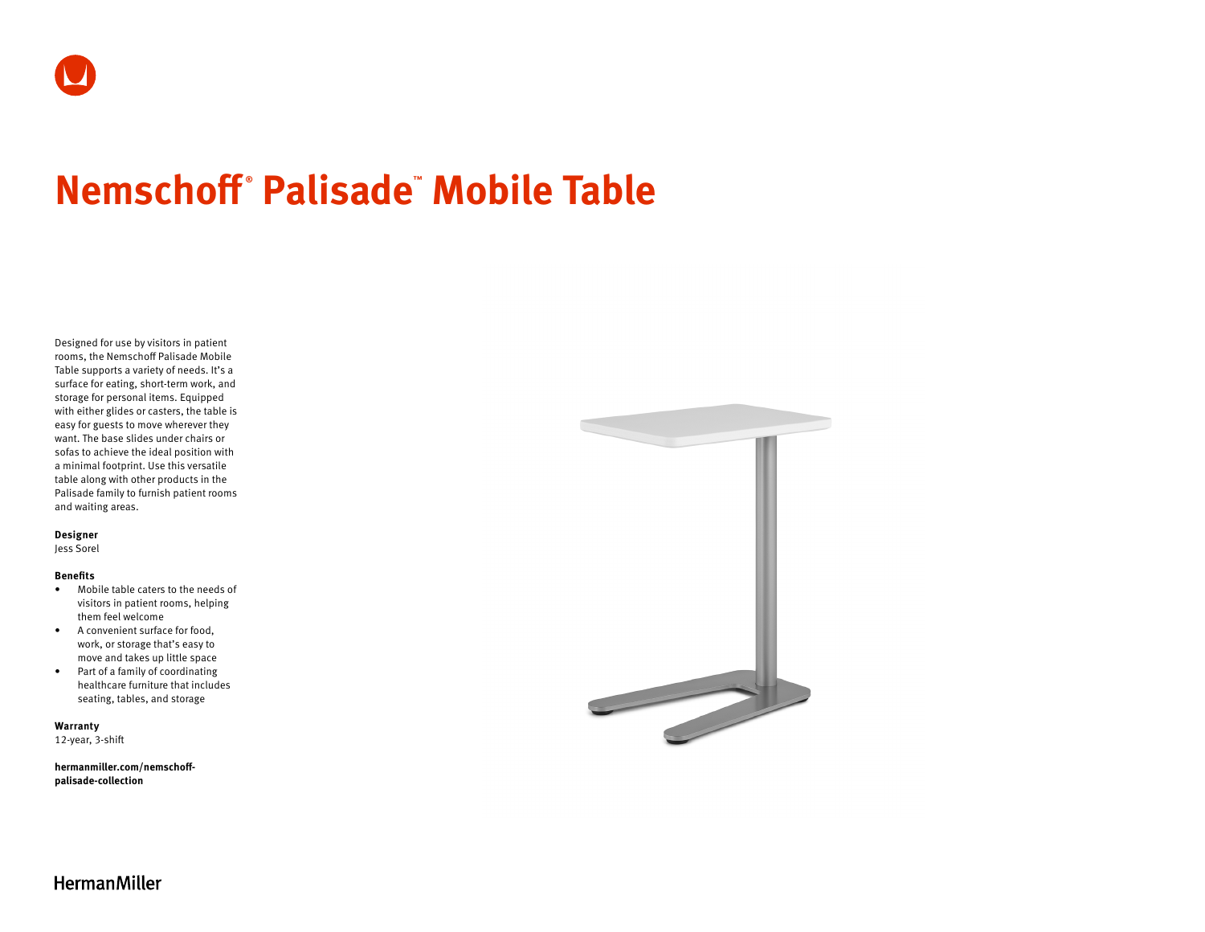# **Nemschoff ® Palisade™ Mobile Table**

Designed for use by visitors in patient rooms, the Nemschoff Palisade Mobile Table supports a variety of needs. It's a surface for eating, short-term work, and storage for personal items. Equipped with either glides or casters, the table is easy for guests to move wherever they want. The base slides under chairs or sofas to achieve the ideal position with a minimal footprint. Use this versatile table along with other products in the Palisade family to furnish patient rooms and waiting areas.

### **Designer**

Jess Sorel

#### **Benefits**

- Mobile table caters to the needs of visitors in patient rooms, helping them feel welcome
- A convenient surface for food, work, or storage that's easy to move and takes up little space
- Part of a family of coordinating healthcare furniture that includes seating, tables, and storage

**Warranty**  12-year, 3-shift

**[hermanmiller.com/nemschoff](http://hermanmiller.com/nemschoff-palisade-collection)[palisade-collection](http://hermanmiller.com/nemschoff-palisade-collection)**



**HermanMiller**